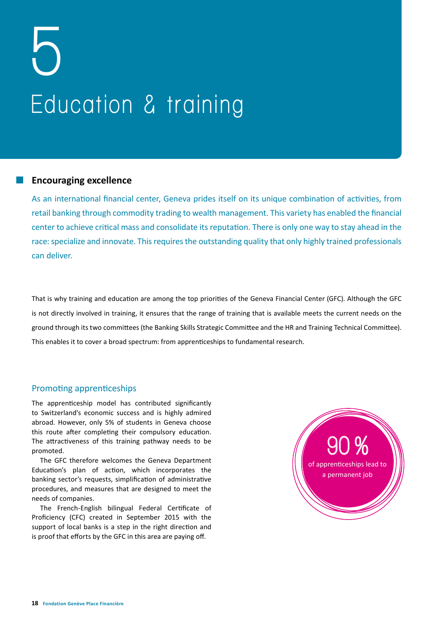# **5 Education & training**

#### **Encouraging excellence**

As an international financial center, Geneva prides itself on its unique combination of activities, from retail banking through commodity trading to wealth management. This variety has enabled the financial center to achieve critical mass and consolidate its reputation. There is only one way to stay ahead in the race: specialize and innovate. This requires the outstanding quality that only highly trained professionals can deliver.

That is why training and education are among the top priorities of the Geneva Financial Center (GFC). Although the GFC is not directly involved in training, it ensures that the range of training that is available meets the current needs on the ground through its two committees (the Banking Skills Strategic Committee and the HR and Training Technical Committee). This enables it to cover a broad spectrum: from apprenticeships to fundamental research.

# Promoting apprenticeships

The apprenticeship model has contributed significantly to Switzerland's economic success and is highly admired abroad. However, only 5% of students in Geneva choose this route after completing their compulsory education. The attractiveness of this training pathway needs to be promoted.

The GFC therefore welcomes the Geneva Department Education's plan of action, which incorporates the banking sector's requests, simplification of administrative procedures, and measures that are designed to meet the needs of companies.

The French-English bilingual Federal Certificate of Proficiency (CFC) created in September 2015 with the support of local banks is a step in the right direction and is proof that efforts by the GFC in this area are paying off.

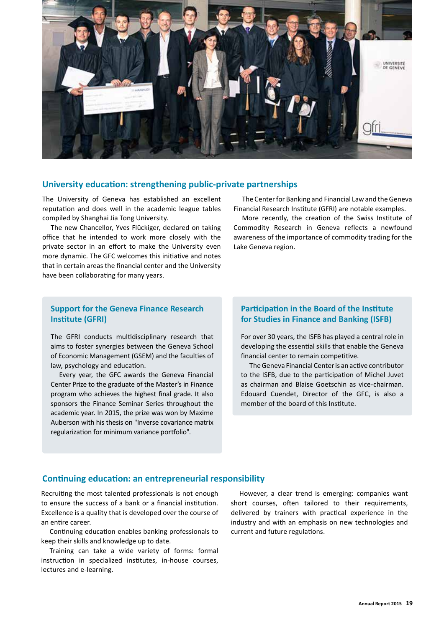

#### **University education: strengthening public-private partnerships**

The University of Geneva has established an excellent reputation and does well in the academic league tables compiled by Shanghai Jia Tong University.

The new Chancellor, Yves Flückiger, declared on taking office that he intended to work more closely with the private sector in an effort to make the University even more dynamic. The GFC welcomes this initiative and notes that in certain areas the financial center and the University have been collaborating for many years.

The Center for Banking and Financial Law and the Geneva Financial Research Institute (GFRI) are notable examples.

More recently, the creation of the Swiss Institute of Commodity Research in Geneva reflects a newfound awareness of the importance of commodity trading for the Lake Geneva region.

## **Support for the Geneva Finance Research Institute (GFRI)**

The GFRI conducts multidisciplinary research that aims to foster synergies between the Geneva School of Economic Management (GSEM) and the faculties of law, psychology and education.

Every year, the GFC awards the Geneva Financial Center Prize to the graduate of the Master's in Finance program who achieves the highest final grade. It also sponsors the Finance Seminar Series throughout the academic year. In 2015, the prize was won by Maxime Auberson with his thesis on "Inverse covariance matrix regularization for minimum variance portfolio".

#### **Participation in the Board of the Institute for Studies in Finance and Banking (ISFB)**

For over 30 years, the ISFB has played a central role in developing the essential skills that enable the Geneva financial center to remain competitive.

The Geneva Financial Center is an active contributor to the ISFB, due to the participation of Michel Juvet as chairman and Blaise Goetschin as vice-chairman. Edouard Cuendet, Director of the GFC, is also a member of the board of this Institute.

#### **Continuing education: an entrepreneurial responsibility**

Recruiting the most talented professionals is not enough to ensure the success of a bank or a financial institution. Excellence is a quality that is developed over the course of an entire career.

Continuing education enables banking professionals to keep their skills and knowledge up to date.

Training can take a wide variety of forms: formal instruction in specialized institutes, in-house courses, lectures and e-learning.

However, a clear trend is emerging: companies want short courses, often tailored to their requirements, delivered by trainers with practical experience in the industry and with an emphasis on new technologies and current and future regulations.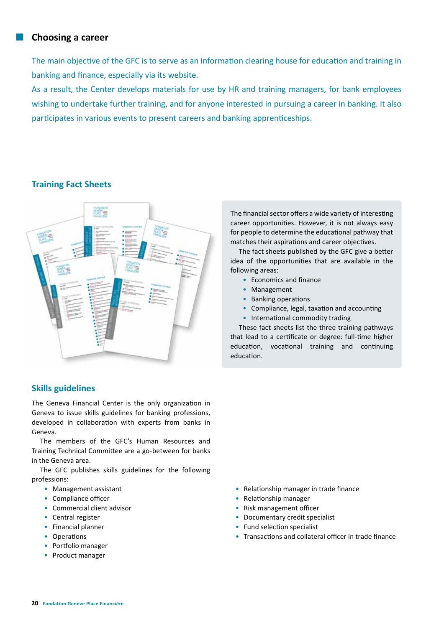## **Choosing a career**

The main objective of the GFC is to serve as an information clearing house for education and training in banking and finance, especially via its website.

As a result, the Center develops materials for use by HR and training managers, for bank employees wishing to undertake further training, and for anyone interested in pursuing a career in banking. It also participates in various events to present careers and banking apprenticeships.

## **Training Fact Sheets**



# **Skills guidelines**

The Geneva Financial Center is the only organization in Geneva to issue skills guidelines for banking professions, developed in collaboration with experts from banks in Geneva.

The members of the GFC's Human Resources and Training Technical Committee are a go-between for banks in the Geneva area.

The GFC publishes skills guidelines for the following professions:

- Management assistant
- Compliance officer
- Commercial client advisor
- Central register
- Financial planner
- Operations
- Portfolio manager
- Product manager
- Relationship manager in trade finance
- Relationship manager
- Risk management officer
- Documentary credit specialist
- Fund selection specialist
- Transactions and collateral officer in trade finance

The financial sector offers a wide variety of interesting career opportunities. However, it is not always easy for people to determine the educational pathway that matches their aspirations and career objectives.

The fact sheets published by the GFC give a better idea of the opportunities that are available in the following areas:

- Economics and finance
- Management
- Banking operations
- Compliance, legal, taxation and accounting
- International commodity trading

These fact sheets list the three training pathways that lead to a certificate or degree: full-time higher education, vocational training and continuing education.

**20 Fondation Genève Place Financière**